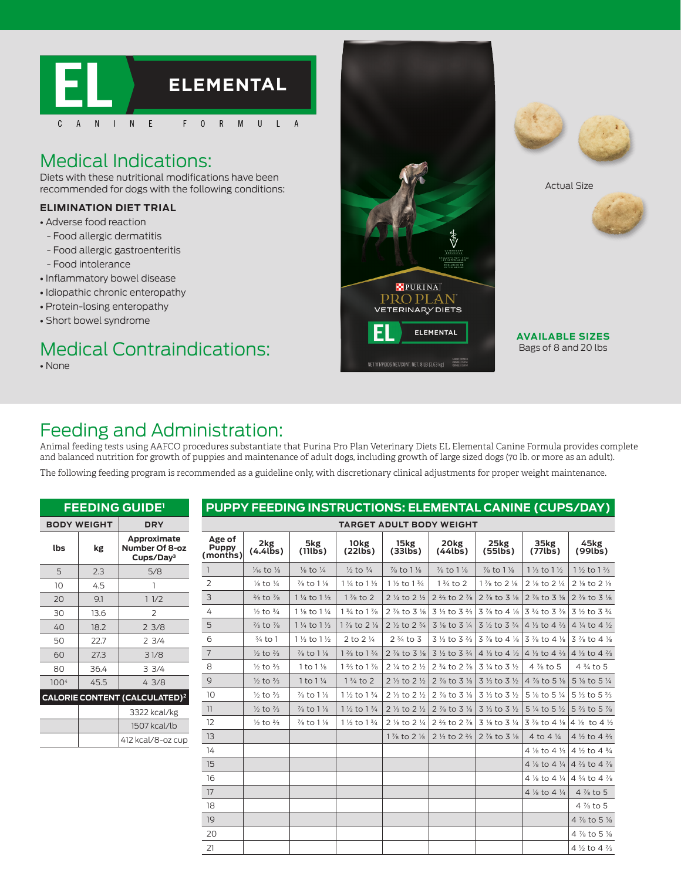

## Medical Indications:

Diets with these nutritional modifications have been recommended for dogs with the following conditions:

#### **ELIMINATION DIET TRIAL**

- Adverse food reaction
- Food allergic dermatitis
- Food allergic gastroenteritis
- Food intolerance
- Inflammatory bowel disease
- Idiopathic chronic enteropathy
- Protein-losing enteropathy
- Short bowel syndrome

# Medical Contraindications:

• None









**AVAILABLE SIZES** Bags of 8 and 20 lbs

### Feeding and Administration:

Animal feeding tests using AAFCO procedures substantiate that Purina Pro Plan Veterinary Diets EL Elemental Canine Formula provides complete and balanced nutrition for growth of puppies and maintenance of adult dogs, including growth of large sized dogs (70 lb. or more as an adult).

The following feeding program is recommended as a guideline only, with discretionary clinical adjustments for proper weight maintenance.

|                  |                    | <b>FEEDING GUIDE'</b>                                  |                             |                                | PUPPY FEEDING INSTRUCTIONS: ELEMENTAL CANINE (CUPS/DAY) |                                  |                                  |                                  |                                                                       |                                                                                                                                                                                      |                                                                       |
|------------------|--------------------|--------------------------------------------------------|-----------------------------|--------------------------------|---------------------------------------------------------|----------------------------------|----------------------------------|----------------------------------|-----------------------------------------------------------------------|--------------------------------------------------------------------------------------------------------------------------------------------------------------------------------------|-----------------------------------------------------------------------|
|                  | <b>BODY WEIGHT</b> | <b>DRY</b>                                             |                             |                                |                                                         |                                  | <b>TARGET ADULT BODY WEIGHT</b>  |                                  |                                                                       |                                                                                                                                                                                      |                                                                       |
| lbs              | kg                 | Approximate<br>Number Of 8-oz<br>Cups/Dav <sup>3</sup> | Age of<br>Puppy<br>(months) | $2kg$<br>(4.4lbs)              | 5kg<br>(111b)                                           | 10 <sub>kg</sub><br>(22lbs)      | 15kg<br>(33lb <sub>s</sub> )     | 20kg<br>(44 <b>lbs</b> )         | 25kg<br>(55lb <sub>s</sub> )                                          | 35kg<br>(77lbs)                                                                                                                                                                      | 45kg<br>(99lbs)                                                       |
| 5                | 2.3                | 5/8                                                    | $\mathbf{1}$                | $\frac{1}{6}$ to $\frac{1}{8}$ | $\frac{1}{8}$ to $\frac{1}{4}$                          | $\frac{1}{2}$ to $\frac{3}{4}$   | $\frac{7}{8}$ to 1 $\frac{1}{8}$ | $\frac{7}{8}$ to 1 $\frac{1}{8}$ | $\frac{7}{8}$ to 1 $\frac{1}{8}$                                      | $1\frac{1}{3}$ to $1\frac{1}{2}$                                                                                                                                                     | $1\frac{1}{2}$ to $1\frac{2}{3}$                                      |
| 10 <sup>°</sup>  | 4.5                | $\mathbf{1}$                                           | $\overline{2}$              | $\frac{1}{8}$ to $\frac{1}{4}$ | $\frac{7}{8}$ to 1 $\frac{1}{8}$                        | $1\frac{1}{4}$ to $1\frac{1}{3}$ | 1 1/2 to 1 3/4                   | $1\frac{3}{4}$ to 2              | $1\frac{7}{8}$ to 2 $\frac{1}{8}$                                     | 2 % to 2 %                                                                                                                                                                           | 2 % to 2 %                                                            |
| 20               | 9.1                | 11/2                                                   | 3                           | $\frac{2}{3}$ to $\frac{7}{8}$ | 1 1/ <sub>4</sub> to 1 1/ <sub>3</sub>                  | 1 % to 2                         |                                  |                                  |                                                                       | 2 ¼ to 2 ½ 2 % to 2 % 2 % to 3 % 2 % to 3 %                                                                                                                                          | $2\frac{7}{8}$ to 3 $\frac{1}{8}$                                     |
| 30               | 13.6               | $\overline{2}$                                         | 4                           | $\frac{1}{2}$ to $\frac{3}{4}$ | 1 % to 1 %                                              | $1\frac{3}{4}$ to $1\frac{7}{8}$ |                                  |                                  |                                                                       | 2 % to 3 % 3 % to 3 % 3 % to 4 % 3 % to 3 % 3 % to 3 % 3 % to 3 %                                                                                                                    |                                                                       |
| 40               | 18.2               | 23/8                                                   | 5                           | $\frac{2}{3}$ to $\frac{7}{8}$ | 1 1/ <sub>4</sub> to 1 1/ <sub>3</sub>                  | $1\%$ to $2\%$                   | $2\frac{1}{2}$ to $2\frac{3}{4}$ |                                  |                                                                       | 3 $\frac{1}{2}$ to 3 $\frac{1}{4}$ 3 $\frac{1}{2}$ to 3 $\frac{3}{4}$ 4 $\frac{1}{3}$ to 4 $\frac{2}{3}$ 4 $\frac{1}{4}$ to 4 $\frac{1}{2}$                                          |                                                                       |
| 50               | 22.7               | 23/4                                                   | 6                           | $\frac{3}{4}$ to 1             | $1\frac{1}{3}$ to $1\frac{1}{2}$                        | 2 to 2 1/4                       | $2\frac{3}{4}$ to 3              |                                  |                                                                       | 3 1/3 to 3 $\frac{2}{3}$ 3 1/8 to 4 1/8 3 1/8 to 4 1/8 3 1/8 to 4 1/8                                                                                                                |                                                                       |
| 60               | 27.3               | 31/8                                                   | $\overline{7}$              | $\frac{1}{2}$ to $\frac{2}{3}$ | % to 1 %                                                | $1\frac{2}{3}$ to $1\frac{3}{4}$ |                                  |                                  |                                                                       | 2 % to 3 % 3 % to 3 % 4 % to 4 % 4 % to 4 % 4 % a % 4 % to 4 %                                                                                                                       |                                                                       |
| 80               | 36.4               | 33/4                                                   | 8                           | $\frac{1}{2}$ to $\frac{2}{3}$ | 1 to $1\frac{1}{8}$                                     | $1\frac{2}{3}$ to $1\frac{7}{8}$ |                                  | 2 ¼ to 2 ½ 2 ¾ to 2 % 3 ¼ to 3 ½ |                                                                       | $4\frac{7}{8}$ to 5                                                                                                                                                                  | $4\frac{3}{4}$ to 5                                                   |
| 100 <sup>4</sup> | 45.5               | 43/8                                                   | $\mathsf 9$                 | $\frac{1}{2}$ to $\frac{2}{3}$ | 1 to $1\frac{1}{4}$                                     | $1\frac{3}{4}$ to 2              |                                  |                                  |                                                                       | 2 1/3 to 2 1/2 2 1/3 to 3 1/3 1/3 to 3 1/2   4 1/3 to 5 1/3   5 1/3 to 5 1/4                                                                                                         |                                                                       |
|                  |                    | <b>CALORIE CONTENT (CALCULATED)<sup>2</sup></b>        | 10                          | $\frac{1}{2}$ to $\frac{2}{3}$ | $\frac{7}{8}$ to 1 $\frac{1}{8}$                        | $1\frac{1}{2}$ to $1\frac{3}{4}$ |                                  |                                  |                                                                       | 2 $\frac{1}{2}$ to 2 $\frac{1}{2}$ 1 2 $\frac{7}{8}$ to 3 $\frac{1}{8}$ 3 $\frac{1}{3}$ to 3 $\frac{1}{2}$ 1 5 $\frac{1}{8}$ to 5 $\frac{1}{4}$ 1 5 $\frac{1}{3}$ to 5 $\frac{2}{3}$ |                                                                       |
|                  |                    | 3322 kcal/kg                                           | 11                          | $\frac{1}{2}$ to $\frac{2}{3}$ | $\frac{7}{8}$ to 1 $\frac{1}{8}$                        | $1\frac{1}{2}$ to $1\frac{3}{4}$ |                                  |                                  |                                                                       | 2 1/3 to 2 1/2 2 1/3 to 3 1/3 1/3 to 3 1/2   5 1/4 to 5 1/2   5 2/3 to 5 1/8                                                                                                         |                                                                       |
|                  |                    | 1507 kcal/lb                                           | 12                          | $\frac{1}{2}$ to $\frac{2}{3}$ | $\frac{7}{8}$ to 1 $\frac{1}{8}$                        | $1\frac{1}{2}$ to $1\frac{3}{4}$ |                                  |                                  |                                                                       | 2 % to 2 % 2 % to 2 % 3 % to 3 % 3 % to 4 % 4 % to 4 %                                                                                                                               |                                                                       |
|                  |                    | 412 kcal/8-oz cup                                      | 13                          |                                |                                                         |                                  | $1\%$ to $2\%$                   |                                  | 2 $\frac{1}{3}$ to 2 $\frac{2}{3}$ 2 $\frac{7}{8}$ to 3 $\frac{1}{8}$ | 4 to 4 $\frac{1}{4}$                                                                                                                                                                 | 4 $\frac{1}{2}$ to 4 $\frac{2}{3}$                                    |
|                  |                    |                                                        | 14                          |                                |                                                         |                                  |                                  |                                  |                                                                       | 4 $\frac{1}{8}$ to 4 $\frac{1}{3}$   4 $\frac{1}{2}$ to 4 $\frac{3}{4}$                                                                                                              |                                                                       |
|                  |                    |                                                        | 15                          |                                |                                                         |                                  |                                  |                                  |                                                                       |                                                                                                                                                                                      | 4 $\frac{1}{8}$ to 4 $\frac{1}{4}$ 4 $\frac{2}{3}$ to 4 $\frac{7}{8}$ |
|                  |                    |                                                        | 16                          |                                |                                                         |                                  |                                  |                                  |                                                                       | 4 $\frac{1}{8}$ to 4 $\frac{1}{4}$ 4 $\frac{3}{4}$ to 4 $\frac{7}{8}$                                                                                                                |                                                                       |
|                  |                    |                                                        | 17                          |                                |                                                         |                                  |                                  |                                  |                                                                       | 4 % to 4 %                                                                                                                                                                           | $4\frac{7}{8}$ to 5                                                   |
|                  |                    |                                                        | 18                          |                                |                                                         |                                  |                                  |                                  |                                                                       |                                                                                                                                                                                      | $4\frac{7}{8}$ to 5                                                   |
|                  |                    |                                                        | 19                          |                                |                                                         |                                  |                                  |                                  |                                                                       |                                                                                                                                                                                      | 4 % to 5 %                                                            |
|                  |                    |                                                        | 20                          |                                |                                                         |                                  |                                  |                                  |                                                                       |                                                                                                                                                                                      | 4 % to 5 %                                                            |
|                  |                    |                                                        | 21                          |                                |                                                         |                                  |                                  |                                  |                                                                       |                                                                                                                                                                                      | 4 $\frac{1}{2}$ to 4 $\frac{2}{3}$                                    |